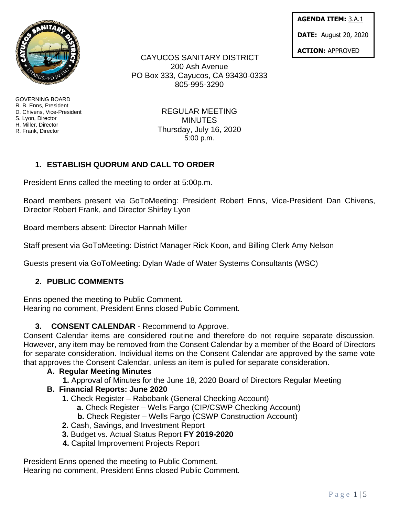

GOVERNING BOARD R. B. Enns, President D. Chivens, Vice-President S. Lyon, Director H. Miller, Director R. Frank, Director

CAYUCOS SANITARY DISTRICT 200 Ash Avenue PO Box 333, Cayucos, CA 93430-0333 805-995-3290

> REGULAR MEETING MINUTES Thursday, July 16, 2020 5:00 p.m.

# **1. ESTABLISH QUORUM AND CALL TO ORDER**

President Enns called the meeting to order at 5:00p.m.

Board members present via GoToMeeting: President Robert Enns, Vice-President Dan Chivens, Director Robert Frank, and Director Shirley Lyon

Board members absent: Director Hannah Miller

Staff present via GoToMeeting: District Manager Rick Koon, and Billing Clerk Amy Nelson

Guests present via GoToMeeting: Dylan Wade of Water Systems Consultants (WSC)

#### **2. PUBLIC COMMENTS**

Enns opened the meeting to Public Comment. Hearing no comment, President Enns closed Public Comment.

## **3. CONSENT CALENDAR** - Recommend to Approve.

Consent Calendar items are considered routine and therefore do not require separate discussion. However, any item may be removed from the Consent Calendar by a member of the Board of Directors for separate consideration. Individual items on the Consent Calendar are approved by the same vote that approves the Consent Calendar, unless an item is pulled for separate consideration.

#### **A. Regular Meeting Minutes**

 **1.** Approval of Minutes for the June 18, 2020 Board of Directors Regular Meeting

#### **B. Financial Reports: June 2020**

- **1.** Check Register Rabobank (General Checking Account)
	- **a.** Check Register Wells Fargo (CIP/CSWP Checking Account)
	- **b.** Check Register Wells Fargo (CSWP Construction Account)
- **2.** Cash, Savings, and Investment Report
- **3.** Budget vs. Actual Status Report **FY 2019-2020**
- **4.** Capital Improvement Projects Report

President Enns opened the meeting to Public Comment. Hearing no comment, President Enns closed Public Comment. **AGENDA ITEM:** 3.A.1

**DATE:** August 20, 2020

**ACTION:** APPROVED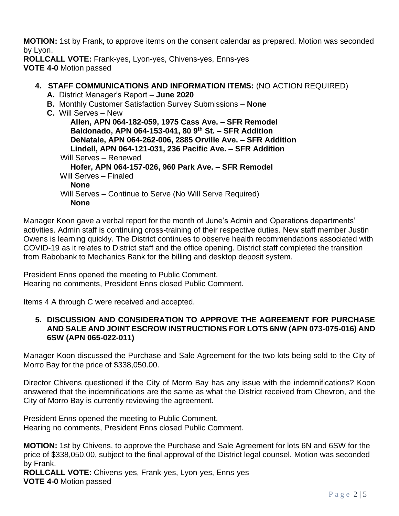**MOTION:** 1st by Frank, to approve items on the consent calendar as prepared. Motion was seconded by Lyon.

**ROLLCALL VOTE:** Frank-yes, Lyon-yes, Chivens-yes, Enns-yes **VOTE 4-0** Motion passed

## **4. STAFF COMMUNICATIONS AND INFORMATION ITEMS:** (NO ACTION REQUIRED)

- **A.** District Manager's Report **June 2020**
- **B.** Monthly Customer Satisfaction Survey Submissions **None**
- **C.** Will Serves New

**Allen, APN 064-182-059, 1975 Cass Ave. – SFR Remodel Baldonado, APN 064-153-041, 80 9th St. – SFR Addition DeNatale, APN 064-262-006, 2885 Orville Ave. – SFR Addition Lindell, APN 064-121-031, 236 Pacific Ave. – SFR Addition**  Will Serves – Renewed **Hofer, APN 064-157-026, 960 Park Ave. – SFR Remodel** Will Serves – Finaled **None** Will Serves – Continue to Serve (No Will Serve Required) **None**

Manager Koon gave a verbal report for the month of June's Admin and Operations departments' activities. Admin staff is continuing cross-training of their respective duties. New staff member Justin Owens is learning quickly. The District continues to observe health recommendations associated with COVID-19 as it relates to District staff and the office opening. District staff completed the transition from Rabobank to Mechanics Bank for the billing and desktop deposit system.

President Enns opened the meeting to Public Comment. Hearing no comments, President Enns closed Public Comment.

Items 4 A through C were received and accepted.

#### **5. DISCUSSION AND CONSIDERATION TO APPROVE THE AGREEMENT FOR PURCHASE AND SALE AND JOINT ESCROW INSTRUCTIONS FOR LOTS 6NW (APN 073-075-016) AND 6SW (APN 065-022-011)**

Manager Koon discussed the Purchase and Sale Agreement for the two lots being sold to the City of Morro Bay for the price of \$338,050.00.

Director Chivens questioned if the City of Morro Bay has any issue with the indemnifications? Koon answered that the indemnifications are the same as what the District received from Chevron, and the City of Morro Bay is currently reviewing the agreement.

President Enns opened the meeting to Public Comment. Hearing no comments, President Enns closed Public Comment.

**MOTION:** 1st by Chivens, to approve the Purchase and Sale Agreement for lots 6N and 6SW for the price of \$338,050.00, subject to the final approval of the District legal counsel. Motion was seconded by Frank.

**ROLLCALL VOTE:** Chivens-yes, Frank-yes, Lyon-yes, Enns-yes **VOTE 4-0** Motion passed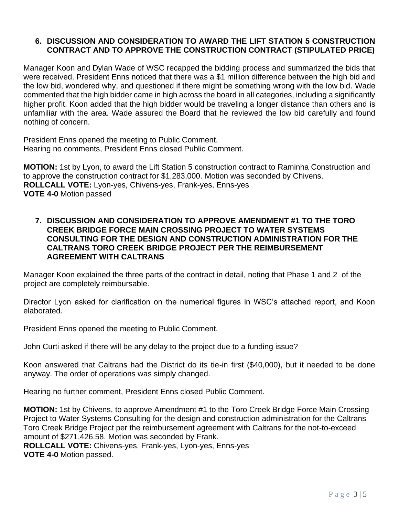## **6. DISCUSSION AND CONSIDERATION TO AWARD THE LIFT STATION 5 CONSTRUCTION CONTRACT AND TO APPROVE THE CONSTRUCTION CONTRACT (STIPULATED PRICE)**

Manager Koon and Dylan Wade of WSC recapped the bidding process and summarized the bids that were received. President Enns noticed that there was a \$1 million difference between the high bid and the low bid, wondered why, and questioned if there might be something wrong with the low bid. Wade commented that the high bidder came in high across the board in all categories, including a significantly higher profit. Koon added that the high bidder would be traveling a longer distance than others and is unfamiliar with the area. Wade assured the Board that he reviewed the low bid carefully and found nothing of concern.

President Enns opened the meeting to Public Comment. Hearing no comments, President Enns closed Public Comment.

**MOTION:** 1st by Lyon, to award the Lift Station 5 construction contract to Raminha Construction and to approve the construction contract for \$1,283,000. Motion was seconded by Chivens. **ROLLCALL VOTE:** Lyon-yes, Chivens-yes, Frank-yes, Enns-yes **VOTE 4-0** Motion passed

#### **7. DISCUSSION AND CONSIDERATION TO APPROVE AMENDMENT #1 TO THE TORO CREEK BRIDGE FORCE MAIN CROSSING PROJECT TO WATER SYSTEMS CONSULTING FOR THE DESIGN AND CONSTRUCTION ADMINISTRATION FOR THE CALTRANS TORO CREEK BRIDGE PROJECT PER THE REIMBURSEMENT AGREEMENT WITH CALTRANS**

Manager Koon explained the three parts of the contract in detail, noting that Phase 1 and 2 of the project are completely reimbursable.

Director Lyon asked for clarification on the numerical figures in WSC's attached report, and Koon elaborated.

President Enns opened the meeting to Public Comment.

John Curti asked if there will be any delay to the project due to a funding issue?

Koon answered that Caltrans had the District do its tie-in first (\$40,000), but it needed to be done anyway. The order of operations was simply changed.

Hearing no further comment, President Enns closed Public Comment.

**MOTION:** 1st by Chivens, to approve Amendment #1 to the Toro Creek Bridge Force Main Crossing Project to Water Systems Consulting for the design and construction administration for the Caltrans Toro Creek Bridge Project per the reimbursement agreement with Caltrans for the not-to-exceed amount of \$271,426.58. Motion was seconded by Frank.

**ROLLCALL VOTE:** Chivens-yes, Frank-yes, Lyon-yes, Enns-yes **VOTE 4-0** Motion passed.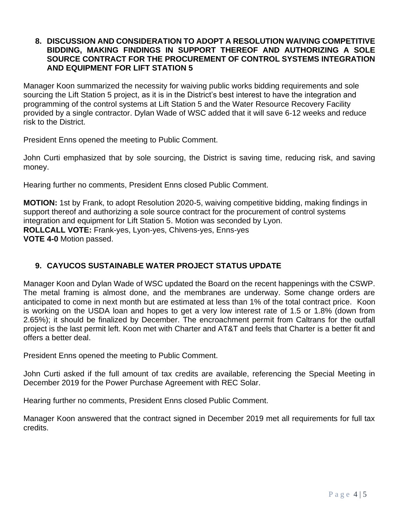### **8. DISCUSSION AND CONSIDERATION TO ADOPT A RESOLUTION WAIVING COMPETITIVE BIDDING, MAKING FINDINGS IN SUPPORT THEREOF AND AUTHORIZING A SOLE SOURCE CONTRACT FOR THE PROCUREMENT OF CONTROL SYSTEMS INTEGRATION AND EQUIPMENT FOR LIFT STATION 5**

Manager Koon summarized the necessity for waiving public works bidding requirements and sole sourcing the Lift Station 5 project, as it is in the District's best interest to have the integration and programming of the control systems at Lift Station 5 and the Water Resource Recovery Facility provided by a single contractor. Dylan Wade of WSC added that it will save 6-12 weeks and reduce risk to the District.

President Enns opened the meeting to Public Comment.

John Curti emphasized that by sole sourcing, the District is saving time, reducing risk, and saving money.

Hearing further no comments, President Enns closed Public Comment.

**MOTION:** 1st by Frank, to adopt Resolution 2020-5, waiving competitive bidding, making findings in support thereof and authorizing a sole source contract for the procurement of control systems integration and equipment for Lift Station 5. Motion was seconded by Lyon. **ROLLCALL VOTE:** Frank-yes, Lyon-yes, Chivens-yes, Enns-yes **VOTE 4-0** Motion passed.

## **9. CAYUCOS SUSTAINABLE WATER PROJECT STATUS UPDATE**

Manager Koon and Dylan Wade of WSC updated the Board on the recent happenings with the CSWP. The metal framing is almost done, and the membranes are underway. Some change orders are anticipated to come in next month but are estimated at less than 1% of the total contract price. Koon is working on the USDA loan and hopes to get a very low interest rate of 1.5 or 1.8% (down from 2.65%); it should be finalized by December. The encroachment permit from Caltrans for the outfall project is the last permit left. Koon met with Charter and AT&T and feels that Charter is a better fit and offers a better deal.

President Enns opened the meeting to Public Comment.

John Curti asked if the full amount of tax credits are available, referencing the Special Meeting in December 2019 for the Power Purchase Agreement with REC Solar.

Hearing further no comments, President Enns closed Public Comment.

Manager Koon answered that the contract signed in December 2019 met all requirements for full tax credits.